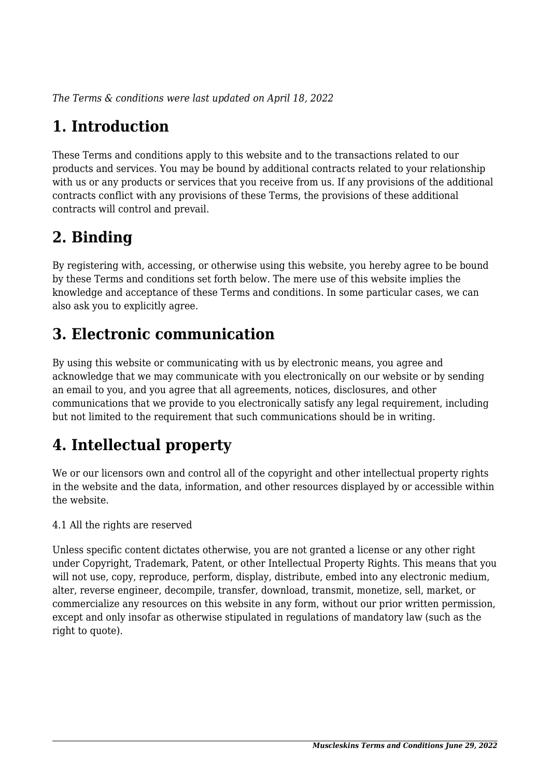*The Terms & conditions were last updated on April 18, 2022*

# **1. Introduction**

These Terms and conditions apply to this website and to the transactions related to our products and services. You may be bound by additional contracts related to your relationship with us or any products or services that you receive from us. If any provisions of the additional contracts conflict with any provisions of these Terms, the provisions of these additional contracts will control and prevail.

# **2. Binding**

By registering with, accessing, or otherwise using this website, you hereby agree to be bound by these Terms and conditions set forth below. The mere use of this website implies the knowledge and acceptance of these Terms and conditions. In some particular cases, we can also ask you to explicitly agree.

# **3. Electronic communication**

By using this website or communicating with us by electronic means, you agree and acknowledge that we may communicate with you electronically on our website or by sending an email to you, and you agree that all agreements, notices, disclosures, and other communications that we provide to you electronically satisfy any legal requirement, including but not limited to the requirement that such communications should be in writing.

# **4. Intellectual property**

We or our licensors own and control all of the copyright and other intellectual property rights in the website and the data, information, and other resources displayed by or accessible within the website.

4.1 All the rights are reserved

Unless specific content dictates otherwise, you are not granted a license or any other right under Copyright, Trademark, Patent, or other Intellectual Property Rights. This means that you will not use, copy, reproduce, perform, display, distribute, embed into any electronic medium, alter, reverse engineer, decompile, transfer, download, transmit, monetize, sell, market, or commercialize any resources on this website in any form, without our prior written permission, except and only insofar as otherwise stipulated in regulations of mandatory law (such as the right to quote).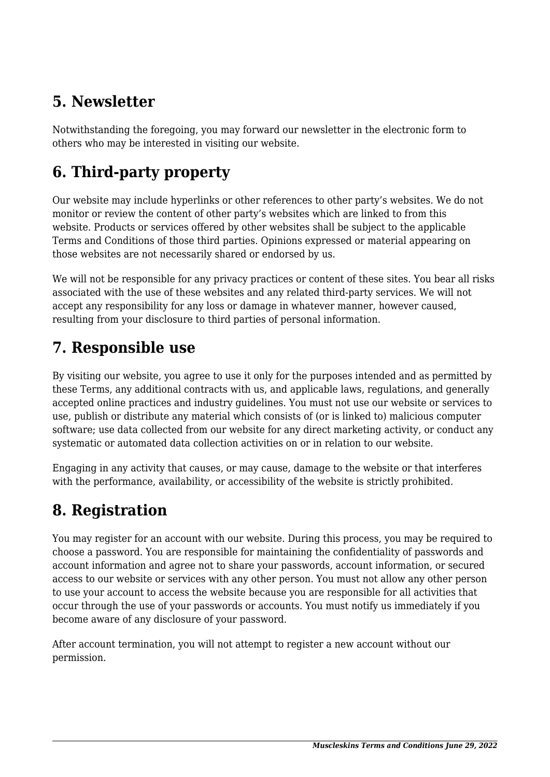# **5. Newsletter**

Notwithstanding the foregoing, you may forward our newsletter in the electronic form to others who may be interested in visiting our website.

# **6. Third-party property**

Our website may include hyperlinks or other references to other party's websites. We do not monitor or review the content of other party's websites which are linked to from this website. Products or services offered by other websites shall be subject to the applicable Terms and Conditions of those third parties. Opinions expressed or material appearing on those websites are not necessarily shared or endorsed by us.

We will not be responsible for any privacy practices or content of these sites. You bear all risks associated with the use of these websites and any related third-party services. We will not accept any responsibility for any loss or damage in whatever manner, however caused, resulting from your disclosure to third parties of personal information.

## **7. Responsible use**

By visiting our website, you agree to use it only for the purposes intended and as permitted by these Terms, any additional contracts with us, and applicable laws, regulations, and generally accepted online practices and industry guidelines. You must not use our website or services to use, publish or distribute any material which consists of (or is linked to) malicious computer software; use data collected from our website for any direct marketing activity, or conduct any systematic or automated data collection activities on or in relation to our website.

Engaging in any activity that causes, or may cause, damage to the website or that interferes with the performance, availability, or accessibility of the website is strictly prohibited.

# **8. Registration**

You may register for an account with our website. During this process, you may be required to choose a password. You are responsible for maintaining the confidentiality of passwords and account information and agree not to share your passwords, account information, or secured access to our website or services with any other person. You must not allow any other person to use your account to access the website because you are responsible for all activities that occur through the use of your passwords or accounts. You must notify us immediately if you become aware of any disclosure of your password.

After account termination, you will not attempt to register a new account without our permission.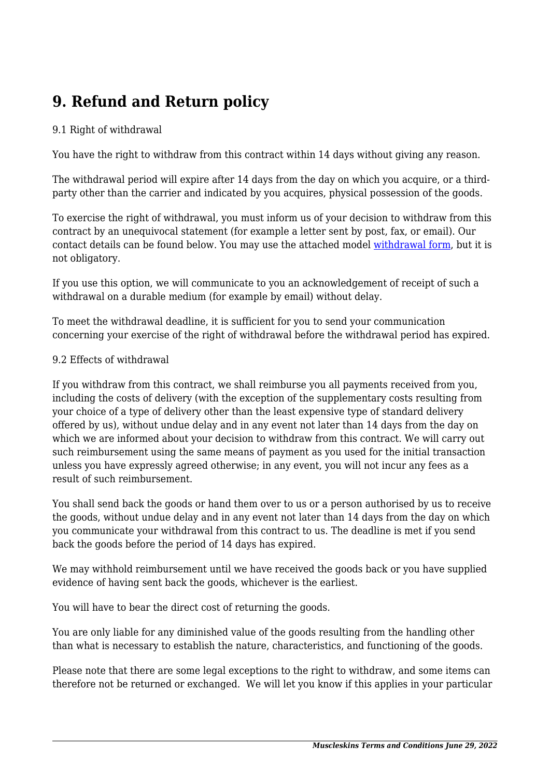# **9. Refund and Return policy**

#### 9.1 Right of withdrawal

You have the right to withdraw from this contract within 14 days without giving any reason.

The withdrawal period will expire after 14 days from the day on which you acquire, or a thirdparty other than the carrier and indicated by you acquires, physical possession of the goods.

To exercise the right of withdrawal, you must inform us of your decision to withdraw from this contract by an unequivocal statement (for example a letter sent by post, fax, or email). Our contact details can be found below. You may use the attached model [withdrawal form](https://www.muscleskins.com/wp-content/uploads/complianz/withdrawal-forms/withdrawal-form-en.pdf), but it is not obligatory.

If you use this option, we will communicate to you an acknowledgement of receipt of such a withdrawal on a durable medium (for example by email) without delay.

To meet the withdrawal deadline, it is sufficient for you to send your communication concerning your exercise of the right of withdrawal before the withdrawal period has expired.

#### 9.2 Effects of withdrawal

If you withdraw from this contract, we shall reimburse you all payments received from you, including the costs of delivery (with the exception of the supplementary costs resulting from your choice of a type of delivery other than the least expensive type of standard delivery offered by us), without undue delay and in any event not later than 14 days from the day on which we are informed about your decision to withdraw from this contract. We will carry out such reimbursement using the same means of payment as you used for the initial transaction unless you have expressly agreed otherwise; in any event, you will not incur any fees as a result of such reimbursement.

You shall send back the goods or hand them over to us or a person authorised by us to receive the goods, without undue delay and in any event not later than 14 days from the day on which you communicate your withdrawal from this contract to us. The deadline is met if you send back the goods before the period of 14 days has expired.

We may withhold reimbursement until we have received the goods back or you have supplied evidence of having sent back the goods, whichever is the earliest.

You will have to bear the direct cost of returning the goods.

You are only liable for any diminished value of the goods resulting from the handling other than what is necessary to establish the nature, characteristics, and functioning of the goods.

Please note that there are some legal exceptions to the right to withdraw, and some items can therefore not be returned or exchanged. We will let you know if this applies in your particular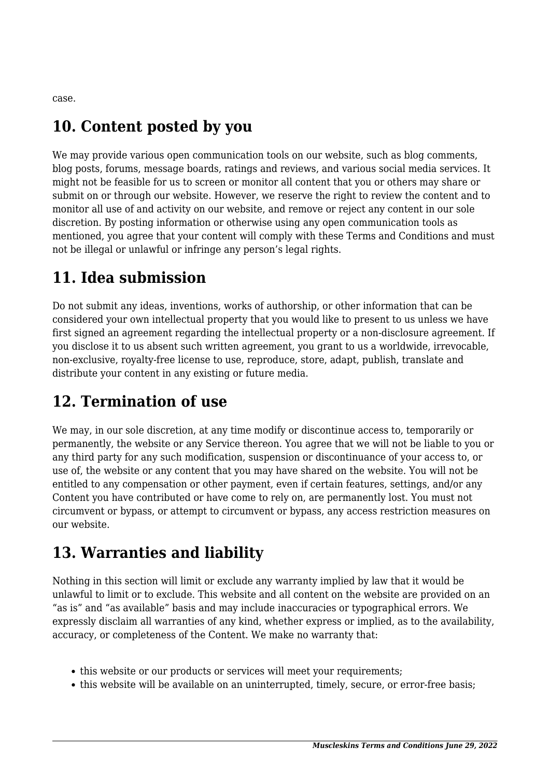case.

# **10. Content posted by you**

We may provide various open communication tools on our website, such as blog comments, blog posts, forums, message boards, ratings and reviews, and various social media services. It might not be feasible for us to screen or monitor all content that you or others may share or submit on or through our website. However, we reserve the right to review the content and to monitor all use of and activity on our website, and remove or reject any content in our sole discretion. By posting information or otherwise using any open communication tools as mentioned, you agree that your content will comply with these Terms and Conditions and must not be illegal or unlawful or infringe any person's legal rights.

## **11. Idea submission**

Do not submit any ideas, inventions, works of authorship, or other information that can be considered your own intellectual property that you would like to present to us unless we have first signed an agreement regarding the intellectual property or a non-disclosure agreement. If you disclose it to us absent such written agreement, you grant to us a worldwide, irrevocable, non-exclusive, royalty-free license to use, reproduce, store, adapt, publish, translate and distribute your content in any existing or future media.

## **12. Termination of use**

We may, in our sole discretion, at any time modify or discontinue access to, temporarily or permanently, the website or any Service thereon. You agree that we will not be liable to you or any third party for any such modification, suspension or discontinuance of your access to, or use of, the website or any content that you may have shared on the website. You will not be entitled to any compensation or other payment, even if certain features, settings, and/or any Content you have contributed or have come to rely on, are permanently lost. You must not circumvent or bypass, or attempt to circumvent or bypass, any access restriction measures on our website.

## **13. Warranties and liability**

Nothing in this section will limit or exclude any warranty implied by law that it would be unlawful to limit or to exclude. This website and all content on the website are provided on an "as is" and "as available" basis and may include inaccuracies or typographical errors. We expressly disclaim all warranties of any kind, whether express or implied, as to the availability, accuracy, or completeness of the Content. We make no warranty that:

- this website or our products or services will meet your requirements;
- this website will be available on an uninterrupted, timely, secure, or error-free basis;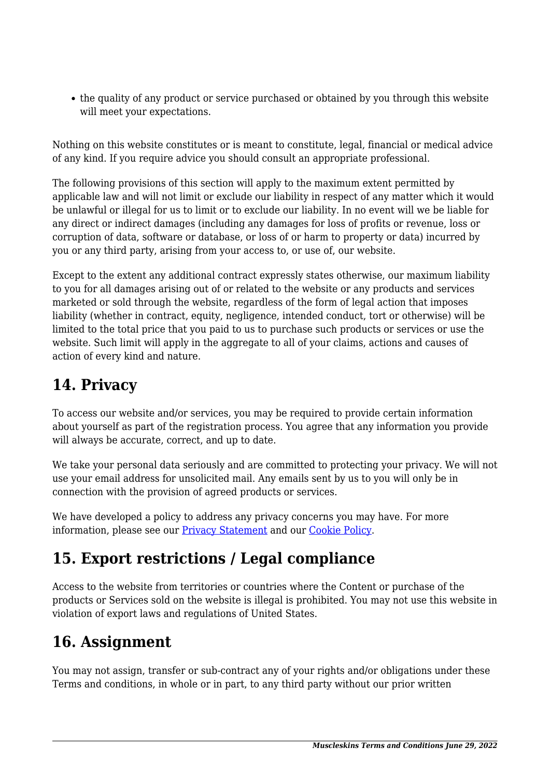• the quality of any product or service purchased or obtained by you through this website will meet your expectations.

Nothing on this website constitutes or is meant to constitute, legal, financial or medical advice of any kind. If you require advice you should consult an appropriate professional.

The following provisions of this section will apply to the maximum extent permitted by applicable law and will not limit or exclude our liability in respect of any matter which it would be unlawful or illegal for us to limit or to exclude our liability. In no event will we be liable for any direct or indirect damages (including any damages for loss of profits or revenue, loss or corruption of data, software or database, or loss of or harm to property or data) incurred by you or any third party, arising from your access to, or use of, our website.

Except to the extent any additional contract expressly states otherwise, our maximum liability to you for all damages arising out of or related to the website or any products and services marketed or sold through the website, regardless of the form of legal action that imposes liability (whether in contract, equity, negligence, intended conduct, tort or otherwise) will be limited to the total price that you paid to us to purchase such products or services or use the website. Such limit will apply in the aggregate to all of your claims, actions and causes of action of every kind and nature.

# **14. Privacy**

To access our website and/or services, you may be required to provide certain information about yourself as part of the registration process. You agree that any information you provide will always be accurate, correct, and up to date.

We take your personal data seriously and are committed to protecting your privacy. We will not use your email address for unsolicited mail. Any emails sent by us to you will only be in connection with the provision of agreed products or services.

We have developed a policy to address any privacy concerns you may have. For more information, please see our [Privacy Statement](https://www.muscleskins.com/privacy-policy/) and our [Cookie Policy](https://www.muscleskins.com/cookie-policy-eu/).

# **15. Export restrictions / Legal compliance**

Access to the website from territories or countries where the Content or purchase of the products or Services sold on the website is illegal is prohibited. You may not use this website in violation of export laws and regulations of United States.

# **16. Assignment**

You may not assign, transfer or sub-contract any of your rights and/or obligations under these Terms and conditions, in whole or in part, to any third party without our prior written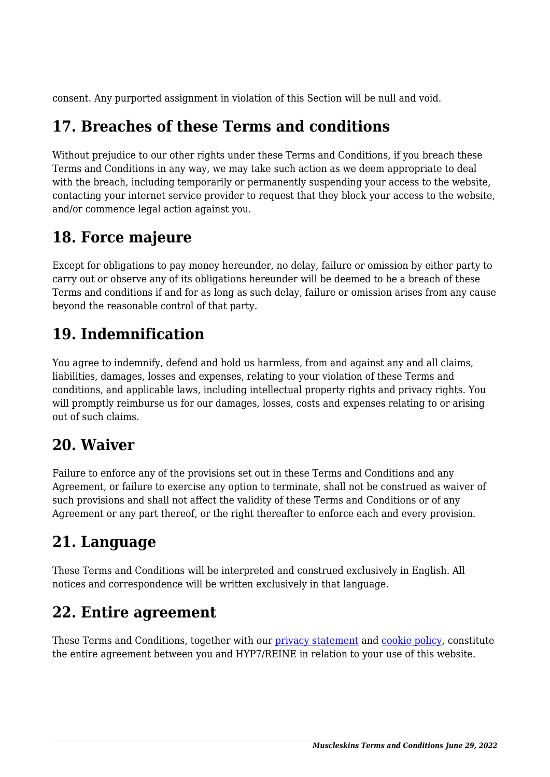consent. Any purported assignment in violation of this Section will be null and void.

## **17. Breaches of these Terms and conditions**

Without prejudice to our other rights under these Terms and Conditions, if you breach these Terms and Conditions in any way, we may take such action as we deem appropriate to deal with the breach, including temporarily or permanently suspending your access to the website, contacting your internet service provider to request that they block your access to the website, and/or commence legal action against you.

## **18. Force majeure**

Except for obligations to pay money hereunder, no delay, failure or omission by either party to carry out or observe any of its obligations hereunder will be deemed to be a breach of these Terms and conditions if and for as long as such delay, failure or omission arises from any cause beyond the reasonable control of that party.

## **19. Indemnification**

You agree to indemnify, defend and hold us harmless, from and against any and all claims, liabilities, damages, losses and expenses, relating to your violation of these Terms and conditions, and applicable laws, including intellectual property rights and privacy rights. You will promptly reimburse us for our damages, losses, costs and expenses relating to or arising out of such claims.

#### **20. Waiver**

Failure to enforce any of the provisions set out in these Terms and Conditions and any Agreement, or failure to exercise any option to terminate, shall not be construed as waiver of such provisions and shall not affect the validity of these Terms and Conditions or of any Agreement or any part thereof, or the right thereafter to enforce each and every provision.

# **21. Language**

These Terms and Conditions will be interpreted and construed exclusively in English. All notices and correspondence will be written exclusively in that language.

# **22. Entire agreement**

These Terms and Conditions, together with our [privacy statement](https://www.muscleskins.com/privacy-policy/) and [cookie policy,](https://www.muscleskins.com/cookie-policy-eu/) constitute the entire agreement between you and HYP7/REINE in relation to your use of this website.